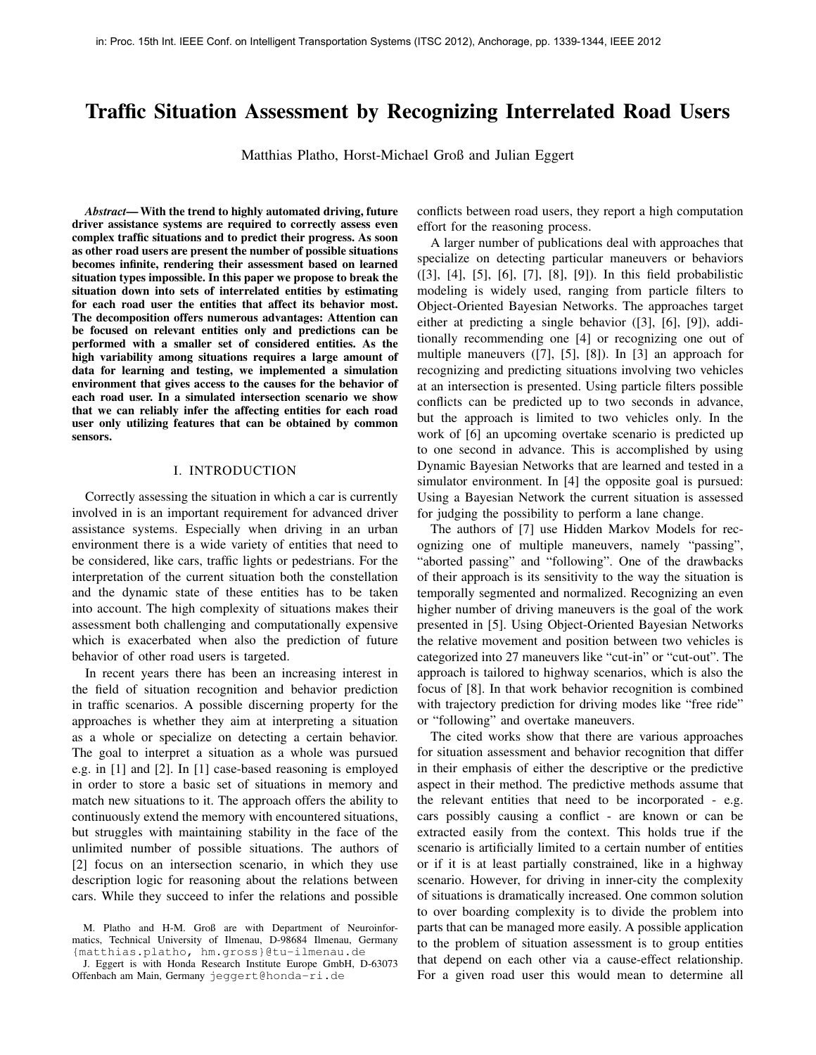# Traffic Situation Assessment by Recognizing Interrelated Road Users

Matthias Platho, Horst-Michael Groß and Julian Eggert

*Abstract*—With the trend to highly automated driving, future driver assistance systems are required to correctly assess even complex traffic situations and to predict their progress. As soon as other road users are present the number of possible situations becomes infinite, rendering their assessment based on learned situation types impossible. In this paper we propose to break the situation down into sets of interrelated entities by estimating for each road user the entities that affect its behavior most. The decomposition offers numerous advantages: Attention can be focused on relevant entities only and predictions can be performed with a smaller set of considered entities. As the high variability among situations requires a large amount of data for learning and testing, we implemented a simulation environment that gives access to the causes for the behavior of each road user. In a simulated intersection scenario we show that we can reliably infer the affecting entities for each road user only utilizing features that can be obtained by common sensors.

# I. INTRODUCTION

Correctly assessing the situation in which a car is currently involved in is an important requirement for advanced driver assistance systems. Especially when driving in an urban environment there is a wide variety of entities that need to be considered, like cars, traffic lights or pedestrians. For the interpretation of the current situation both the constellation and the dynamic state of these entities has to be taken into account. The high complexity of situations makes their assessment both challenging and computationally expensive which is exacerbated when also the prediction of future behavior of other road users is targeted.

In recent years there has been an increasing interest in the field of situation recognition and behavior prediction in traffic scenarios. A possible discerning property for the approaches is whether they aim at interpreting a situation as a whole or specialize on detecting a certain behavior. The goal to interpret a situation as a whole was pursued e.g. in [1] and [2]. In [1] case-based reasoning is employed in order to store a basic set of situations in memory and match new situations to it. The approach offers the ability to continuously extend the memory with encountered situations, but struggles with maintaining stability in the face of the unlimited number of possible situations. The authors of [2] focus on an intersection scenario, in which they use description logic for reasoning about the relations between cars. While they succeed to infer the relations and possible

conflicts between road users, they report a high computation effort for the reasoning process.

A larger number of publications deal with approaches that specialize on detecting particular maneuvers or behaviors ([3], [4], [5], [6], [7], [8], [9]). In this field probabilistic modeling is widely used, ranging from particle filters to Object-Oriented Bayesian Networks. The approaches target either at predicting a single behavior ([3], [6], [9]), additionally recommending one [4] or recognizing one out of multiple maneuvers ([7], [5], [8]). In [3] an approach for recognizing and predicting situations involving two vehicles at an intersection is presented. Using particle filters possible conflicts can be predicted up to two seconds in advance, but the approach is limited to two vehicles only. In the work of [6] an upcoming overtake scenario is predicted up to one second in advance. This is accomplished by using Dynamic Bayesian Networks that are learned and tested in a simulator environment. In [4] the opposite goal is pursued: Using a Bayesian Network the current situation is assessed for judging the possibility to perform a lane change.

The authors of [7] use Hidden Markov Models for recognizing one of multiple maneuvers, namely "passing", "aborted passing" and "following". One of the drawbacks of their approach is its sensitivity to the way the situation is temporally segmented and normalized. Recognizing an even higher number of driving maneuvers is the goal of the work presented in [5]. Using Object-Oriented Bayesian Networks the relative movement and position between two vehicles is categorized into 27 maneuvers like "cut-in" or "cut-out". The approach is tailored to highway scenarios, which is also the focus of [8]. In that work behavior recognition is combined with trajectory prediction for driving modes like "free ride" or "following" and overtake maneuvers.

The cited works show that there are various approaches for situation assessment and behavior recognition that differ in their emphasis of either the descriptive or the predictive aspect in their method. The predictive methods assume that the relevant entities that need to be incorporated - e.g. cars possibly causing a conflict - are known or can be extracted easily from the context. This holds true if the scenario is artificially limited to a certain number of entities or if it is at least partially constrained, like in a highway scenario. However, for driving in inner-city the complexity of situations is dramatically increased. One common solution to over boarding complexity is to divide the problem into parts that can be managed more easily. A possible application to the problem of situation assessment is to group entities that depend on each other via a cause-effect relationship. For a given road user this would mean to determine all

M. Platho and H-M. Groß are with Department of Neuroinformatics, Technical University of Ilmenau, D-98684 Ilmenau, Germany {matthias.platho, hm.gross}@tu-ilmenau.de

J. Eggert is with Honda Research Institute Europe GmbH, D-63073 Offenbach am Main, Germany jeggert@honda-ri.de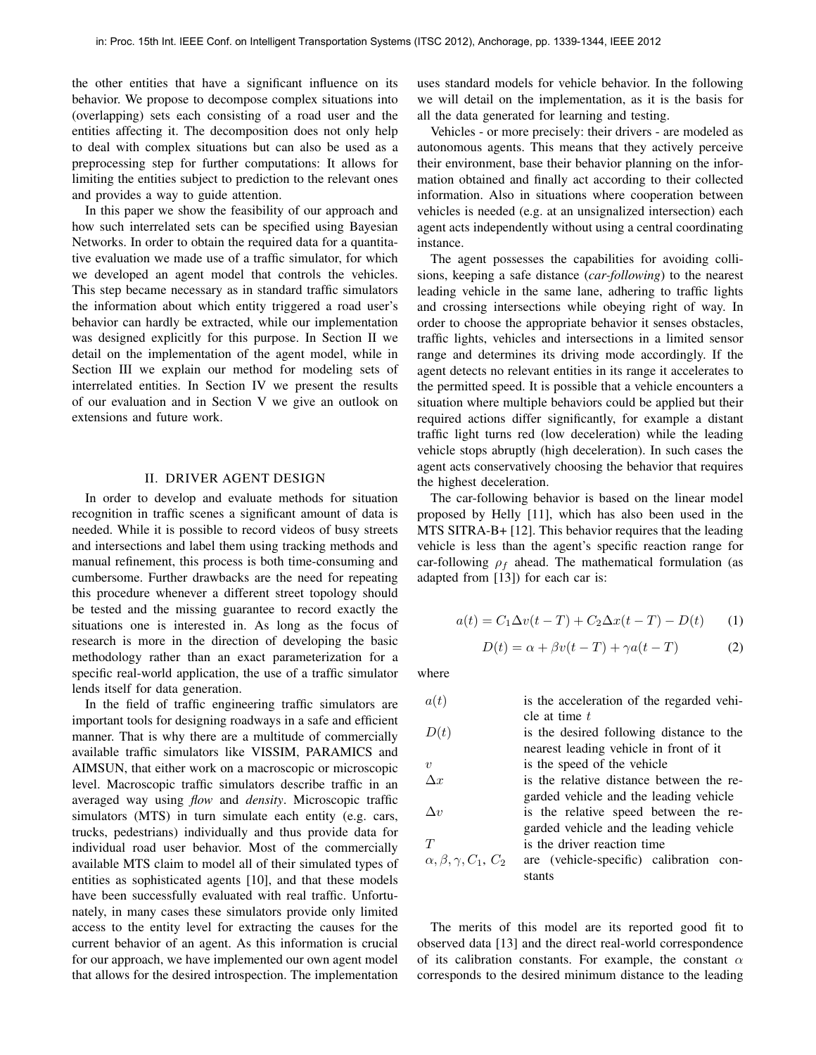the other entities that have a significant influence on its behavior. We propose to decompose complex situations into (overlapping) sets each consisting of a road user and the entities affecting it. The decomposition does not only help to deal with complex situations but can also be used as a preprocessing step for further computations: It allows for limiting the entities subject to prediction to the relevant ones and provides a way to guide attention.

In this paper we show the feasibility of our approach and how such interrelated sets can be specified using Bayesian Networks. In order to obtain the required data for a quantitative evaluation we made use of a traffic simulator, for which we developed an agent model that controls the vehicles. This step became necessary as in standard traffic simulators the information about which entity triggered a road user's behavior can hardly be extracted, while our implementation was designed explicitly for this purpose. In Section II we detail on the implementation of the agent model, while in Section III we explain our method for modeling sets of interrelated entities. In Section IV we present the results of our evaluation and in Section V we give an outlook on extensions and future work.

## II. DRIVER AGENT DESIGN

In order to develop and evaluate methods for situation recognition in traffic scenes a significant amount of data is needed. While it is possible to record videos of busy streets and intersections and label them using tracking methods and manual refinement, this process is both time-consuming and cumbersome. Further drawbacks are the need for repeating this procedure whenever a different street topology should be tested and the missing guarantee to record exactly the situations one is interested in. As long as the focus of research is more in the direction of developing the basic methodology rather than an exact parameterization for a specific real-world application, the use of a traffic simulator lends itself for data generation.

In the field of traffic engineering traffic simulators are important tools for designing roadways in a safe and efficient manner. That is why there are a multitude of commercially available traffic simulators like VISSIM, PARAMICS and AIMSUN, that either work on a macroscopic or microscopic level. Macroscopic traffic simulators describe traffic in an averaged way using *flow* and *density*. Microscopic traffic simulators (MTS) in turn simulate each entity (e.g. cars, trucks, pedestrians) individually and thus provide data for individual road user behavior. Most of the commercially available MTS claim to model all of their simulated types of entities as sophisticated agents [10], and that these models have been successfully evaluated with real traffic. Unfortunately, in many cases these simulators provide only limited access to the entity level for extracting the causes for the current behavior of an agent. As this information is crucial for our approach, we have implemented our own agent model that allows for the desired introspection. The implementation uses standard models for vehicle behavior. In the following we will detail on the implementation, as it is the basis for all the data generated for learning and testing.

Vehicles - or more precisely: their drivers - are modeled as autonomous agents. This means that they actively perceive their environment, base their behavior planning on the information obtained and finally act according to their collected information. Also in situations where cooperation between vehicles is needed (e.g. at an unsignalized intersection) each agent acts independently without using a central coordinating instance.

The agent possesses the capabilities for avoiding collisions, keeping a safe distance (*car-following*) to the nearest leading vehicle in the same lane, adhering to traffic lights and crossing intersections while obeying right of way. In order to choose the appropriate behavior it senses obstacles, traffic lights, vehicles and intersections in a limited sensor range and determines its driving mode accordingly. If the agent detects no relevant entities in its range it accelerates to the permitted speed. It is possible that a vehicle encounters a situation where multiple behaviors could be applied but their required actions differ significantly, for example a distant traffic light turns red (low deceleration) while the leading vehicle stops abruptly (high deceleration). In such cases the agent acts conservatively choosing the behavior that requires the highest deceleration.

The car-following behavior is based on the linear model proposed by Helly [11], which has also been used in the MTS SITRA-B+ [12]. This behavior requires that the leading vehicle is less than the agent's specific reaction range for car-following *ρ<sup>f</sup>* ahead. The mathematical formulation (as adapted from [13]) for each car is:

$$
a(t) = C_1 \Delta v(t - T) + C_2 \Delta x(t - T) - D(t)
$$
 (1)

$$
D(t) = \alpha + \beta v(t - T) + \gamma a(t - T)
$$
 (2)

where

| $a(t)$                            | is the acceleration of the regarded vehi-<br>cle at time $t$                                                                                                                                         |
|-----------------------------------|------------------------------------------------------------------------------------------------------------------------------------------------------------------------------------------------------|
| $D(t)$                            | is the desired following distance to the<br>nearest leading vehicle in front of it<br>is the speed of the vehicle                                                                                    |
| $\Delta x$                        | is the relative distance between the re-<br>garded vehicle and the leading vehicle<br>is the relative speed between the re-<br>garded vehicle and the leading vehicle<br>is the driver reaction time |
| $T$                               | is the driver reaction time                                                                                                                                                                          |
| $\alpha, \beta, \gamma, C_1, C_2$ | are (vehicle-specific) calibration con-<br>stants                                                                                                                                                    |

The merits of this model are its reported good fit to observed data [13] and the direct real-world correspondence of its calibration constants. For example, the constant *α* corresponds to the desired minimum distance to the leading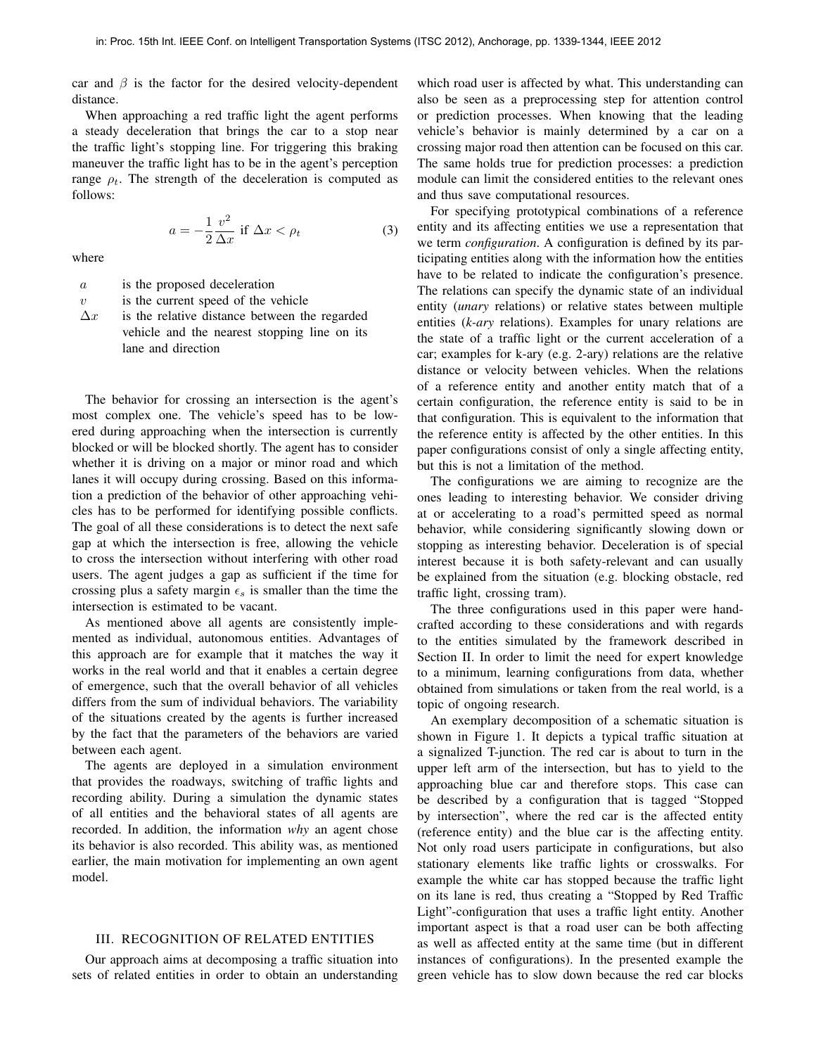car and  $\beta$  is the factor for the desired velocity-dependent distance.

When approaching a red traffic light the agent performs a steady deceleration that brings the car to a stop near the traffic light's stopping line. For triggering this braking maneuver the traffic light has to be in the agent's perception range  $\rho_t$ . The strength of the deceleration is computed as follows:

 $\frac{\partial}{\partial x}$  if  $\Delta x < \rho_t$  (3)

where

*a* is the proposed deceleration

 $a = -\frac{1}{2}$ 2  $v^2$ 

*v* is the current speed of the vehicle

∆*x* is the relative distance between the regarded vehicle and the nearest stopping line on its lane and direction

The behavior for crossing an intersection is the agent's most complex one. The vehicle's speed has to be lowered during approaching when the intersection is currently blocked or will be blocked shortly. The agent has to consider whether it is driving on a major or minor road and which lanes it will occupy during crossing. Based on this information a prediction of the behavior of other approaching vehicles has to be performed for identifying possible conflicts. The goal of all these considerations is to detect the next safe gap at which the intersection is free, allowing the vehicle to cross the intersection without interfering with other road users. The agent judges a gap as sufficient if the time for crossing plus a safety margin  $\epsilon_s$  is smaller than the time the intersection is estimated to be vacant.

As mentioned above all agents are consistently implemented as individual, autonomous entities. Advantages of this approach are for example that it matches the way it works in the real world and that it enables a certain degree of emergence, such that the overall behavior of all vehicles differs from the sum of individual behaviors. The variability of the situations created by the agents is further increased by the fact that the parameters of the behaviors are varied between each agent.

The agents are deployed in a simulation environment that provides the roadways, switching of traffic lights and recording ability. During a simulation the dynamic states of all entities and the behavioral states of all agents are recorded. In addition, the information *why* an agent chose its behavior is also recorded. This ability was, as mentioned earlier, the main motivation for implementing an own agent model.

# III. RECOGNITION OF RELATED ENTITIES

Our approach aims at decomposing a traffic situation into sets of related entities in order to obtain an understanding which road user is affected by what. This understanding can also be seen as a preprocessing step for attention control or prediction processes. When knowing that the leading vehicle's behavior is mainly determined by a car on a crossing major road then attention can be focused on this car. The same holds true for prediction processes: a prediction module can limit the considered entities to the relevant ones and thus save computational resources.

For specifying prototypical combinations of a reference entity and its affecting entities we use a representation that we term *configuration*. A configuration is defined by its participating entities along with the information how the entities have to be related to indicate the configuration's presence. The relations can specify the dynamic state of an individual entity (*unary* relations) or relative states between multiple entities (*k-ary* relations). Examples for unary relations are the state of a traffic light or the current acceleration of a car; examples for k-ary (e.g. 2-ary) relations are the relative distance or velocity between vehicles. When the relations of a reference entity and another entity match that of a certain configuration, the reference entity is said to be in that configuration. This is equivalent to the information that the reference entity is affected by the other entities. In this paper configurations consist of only a single affecting entity, but this is not a limitation of the method.

The configurations we are aiming to recognize are the ones leading to interesting behavior. We consider driving at or accelerating to a road's permitted speed as normal behavior, while considering significantly slowing down or stopping as interesting behavior. Deceleration is of special interest because it is both safety-relevant and can usually be explained from the situation (e.g. blocking obstacle, red traffic light, crossing tram).

The three configurations used in this paper were handcrafted according to these considerations and with regards to the entities simulated by the framework described in Section II. In order to limit the need for expert knowledge to a minimum, learning configurations from data, whether obtained from simulations or taken from the real world, is a topic of ongoing research.

An exemplary decomposition of a schematic situation is shown in Figure 1. It depicts a typical traffic situation at a signalized T-junction. The red car is about to turn in the upper left arm of the intersection, but has to yield to the approaching blue car and therefore stops. This case can be described by a configuration that is tagged "Stopped by intersection", where the red car is the affected entity (reference entity) and the blue car is the affecting entity. Not only road users participate in configurations, but also stationary elements like traffic lights or crosswalks. For example the white car has stopped because the traffic light on its lane is red, thus creating a "Stopped by Red Traffic Light"-configuration that uses a traffic light entity. Another important aspect is that a road user can be both affecting as well as affected entity at the same time (but in different instances of configurations). In the presented example the green vehicle has to slow down because the red car blocks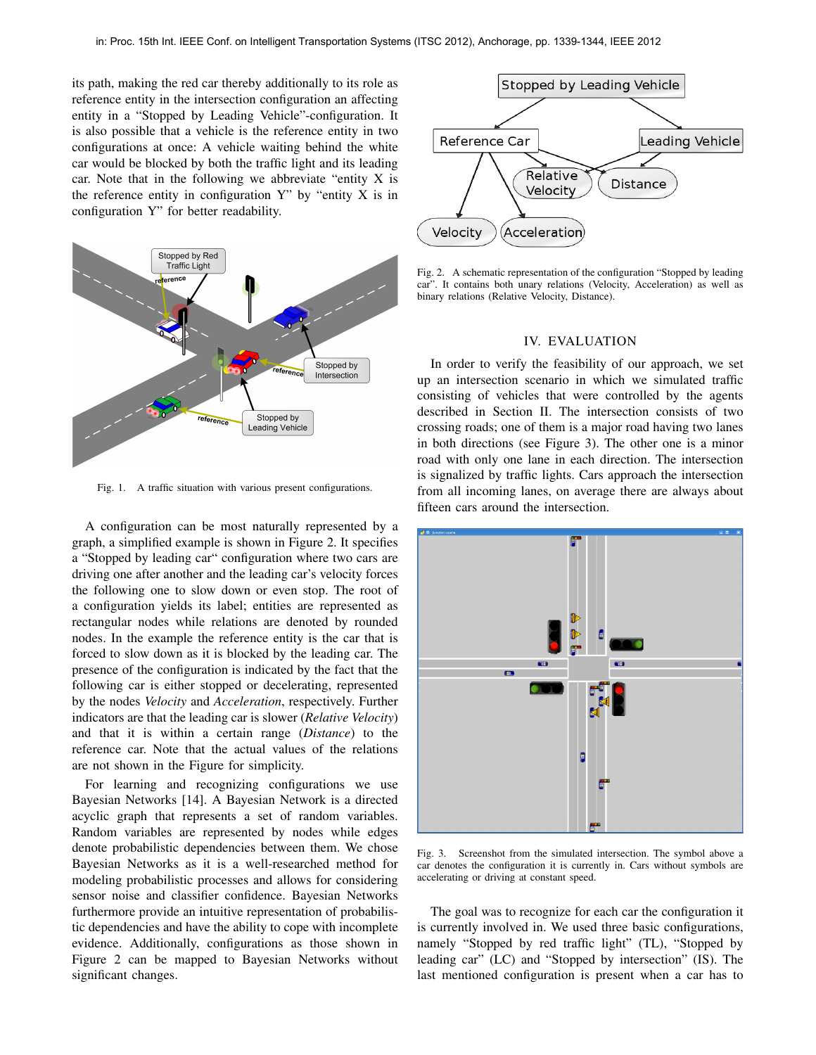its path, making the red car thereby additionally to its role as reference entity in the intersection configuration an affecting entity in a "Stopped by Leading Vehicle"-configuration. It is also possible that a vehicle is the reference entity in two configurations at once: A vehicle waiting behind the white car would be blocked by both the traffic light and its leading car. Note that in the following we abbreviate "entity X is the reference entity in configuration  $Y''$  by "entity  $X$  is in configuration Y" for better readability.



Fig. 1. A traffic situation with various present configurations.

A configuration can be most naturally represented by a graph, a simplified example is shown in Figure 2. It specifies a "Stopped by leading car" configuration where two cars are driving one after another and the leading car's velocity forces the following one to slow down or even stop. The root of a configuration yields its label; entities are represented as rectangular nodes while relations are denoted by rounded nodes. In the example the reference entity is the car that is forced to slow down as it is blocked by the leading car. The presence of the configuration is indicated by the fact that the following car is either stopped or decelerating, represented by the nodes *Velocity* and *Acceleration*, respectively. Further indicators are that the leading car is slower (*Relative Velocity*) and that it is within a certain range (*Distance*) to the reference car. Note that the actual values of the relations are not shown in the Figure for simplicity.

For learning and recognizing configurations we use Bayesian Networks [14]. A Bayesian Network is a directed acyclic graph that represents a set of random variables. Random variables are represented by nodes while edges denote probabilistic dependencies between them. We chose Bayesian Networks as it is a well-researched method for modeling probabilistic processes and allows for considering sensor noise and classifier confidence. Bayesian Networks furthermore provide an intuitive representation of probabilistic dependencies and have the ability to cope with incomplete evidence. Additionally, configurations as those shown in Figure 2 can be mapped to Bayesian Networks without significant changes.



Fig. 2. A schematic representation of the configuration "Stopped by leading car". It contains both unary relations (Velocity, Acceleration) as well as binary relations (Relative Velocity, Distance).

### IV. EVALUATION

In order to verify the feasibility of our approach, we set up an intersection scenario in which we simulated traffic consisting of vehicles that were controlled by the agents described in Section II. The intersection consists of two crossing roads; one of them is a major road having two lanes in both directions (see Figure 3). The other one is a minor road with only one lane in each direction. The intersection is signalized by traffic lights. Cars approach the intersection from all incoming lanes, on average there are always about fifteen cars around the intersection.



Fig. 3. Screenshot from the simulated intersection. The symbol above a car denotes the configuration it is currently in. Cars without symbols are accelerating or driving at constant speed.

The goal was to recognize for each car the configuration it is currently involved in. We used three basic configurations, namely "Stopped by red traffic light" (TL), "Stopped by leading car" (LC) and "Stopped by intersection" (IS). The last mentioned configuration is present when a car has to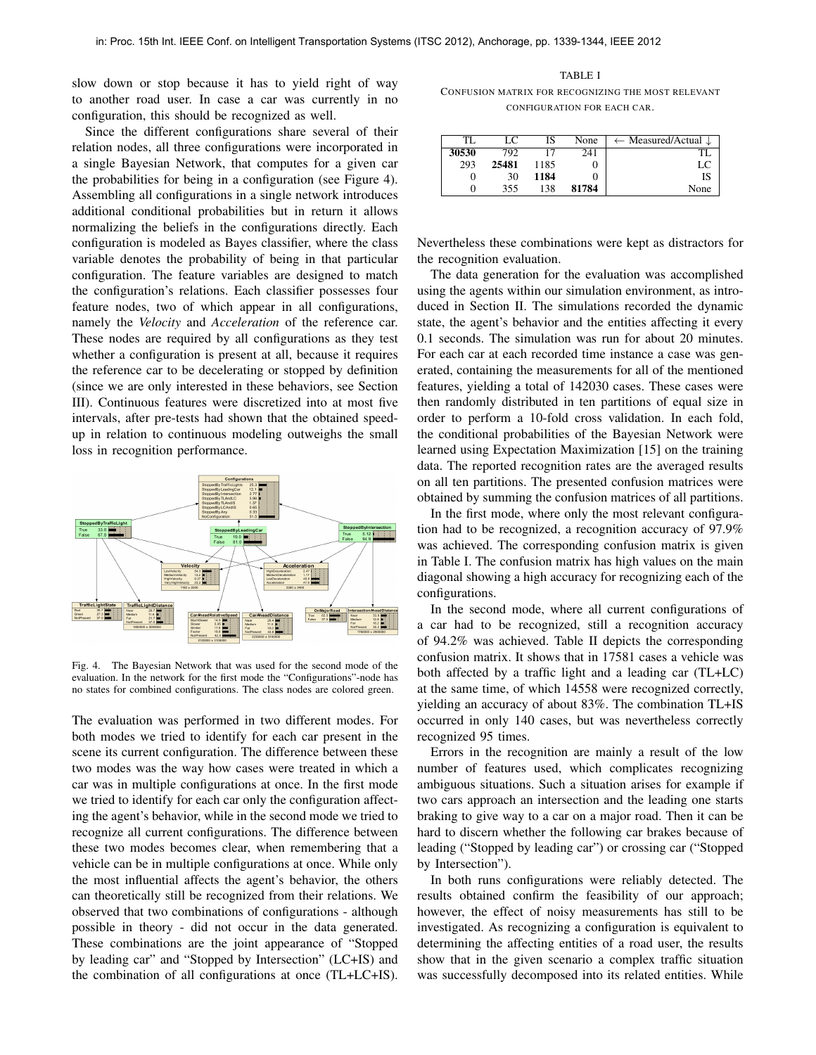slow down or stop because it has to yield right of way to another road user. In case a car was currently in no configuration, this should be recognized as well.

Since the different configurations share several of their relation nodes, all three configurations were incorporated in a single Bayesian Network, that computes for a given car the probabilities for being in a configuration (see Figure 4). Assembling all configurations in a single network introduces additional conditional probabilities but in return it allows normalizing the beliefs in the configurations directly. Each configuration is modeled as Bayes classifier, where the class variable denotes the probability of being in that particular configuration. The feature variables are designed to match the configuration's relations. Each classifier possesses four feature nodes, two of which appear in all configurations, namely the *Velocity* and *Acceleration* of the reference car. These nodes are required by all configurations as they test whether a configuration is present at all, because it requires the reference car to be decelerating or stopped by definition (since we are only interested in these behaviors, see Section III). Continuous features were discretized into at most five intervals, after pre-tests had shown that the obtained speedup in relation to continuous modeling outweighs the small loss in recognition performance.



Fig. 4. The Bayesian Network that was used for the second mode of the evaluation. In the network for the first mode the "Configurations"-node has no states for combined configurations. The class nodes are colored green.

The evaluation was performed in two different modes. For both modes we tried to identify for each car present in the scene its current configuration. The difference between these two modes was the way how cases were treated in which a car was in multiple configurations at once. In the first mode we tried to identify for each car only the configuration affecting the agent's behavior, while in the second mode we tried to recognize all current configurations. The difference between these two modes becomes clear, when remembering that a vehicle can be in multiple configurations at once. While only the most influential affects the agent's behavior, the others can theoretically still be recognized from their relations. We observed that two combinations of configurations - although possible in theory - did not occur in the data generated. These combinations are the joint appearance of "Stopped by leading car" and "Stopped by Intersection" (LC+IS) and the combination of all configurations at once (TL+LC+IS).

TABLE I

CONFUSION MATRIX FOR RECOGNIZING THE MOST RELEVANT CONFIGURATION FOR EACH CAR.

| TI.   | LC    | IS   | None  | $\leftarrow$ Measured/Actual $\downarrow$ |
|-------|-------|------|-------|-------------------------------------------|
| 30530 | 792   |      | 241   |                                           |
| 293   | 25481 | 1185 |       | ΙK                                        |
|       | 30    | 1184 |       | ΙS                                        |
|       | 355   | 138  | 81784 | None                                      |

Nevertheless these combinations were kept as distractors for the recognition evaluation.

The data generation for the evaluation was accomplished using the agents within our simulation environment, as introduced in Section II. The simulations recorded the dynamic state, the agent's behavior and the entities affecting it every 0.1 seconds. The simulation was run for about 20 minutes. For each car at each recorded time instance a case was generated, containing the measurements for all of the mentioned features, yielding a total of 142030 cases. These cases were then randomly distributed in ten partitions of equal size in order to perform a 10-fold cross validation. In each fold, the conditional probabilities of the Bayesian Network were learned using Expectation Maximization [15] on the training data. The reported recognition rates are the averaged results on all ten partitions. The presented confusion matrices were obtained by summing the confusion matrices of all partitions.

In the first mode, where only the most relevant configuration had to be recognized, a recognition accuracy of 97.9% was achieved. The corresponding confusion matrix is given in Table I. The confusion matrix has high values on the main diagonal showing a high accuracy for recognizing each of the configurations.

In the second mode, where all current configurations of a car had to be recognized, still a recognition accuracy of 94.2% was achieved. Table II depicts the corresponding confusion matrix. It shows that in 17581 cases a vehicle was both affected by a traffic light and a leading car (TL+LC) at the same time, of which 14558 were recognized correctly, yielding an accuracy of about 83%. The combination TL+IS occurred in only 140 cases, but was nevertheless correctly recognized 95 times.

Errors in the recognition are mainly a result of the low number of features used, which complicates recognizing ambiguous situations. Such a situation arises for example if two cars approach an intersection and the leading one starts braking to give way to a car on a major road. Then it can be hard to discern whether the following car brakes because of leading ("Stopped by leading car") or crossing car ("Stopped by Intersection").

In both runs configurations were reliably detected. The results obtained confirm the feasibility of our approach; however, the effect of noisy measurements has still to be investigated. As recognizing a configuration is equivalent to determining the affecting entities of a road user, the results show that in the given scenario a complex traffic situation was successfully decomposed into its related entities. While